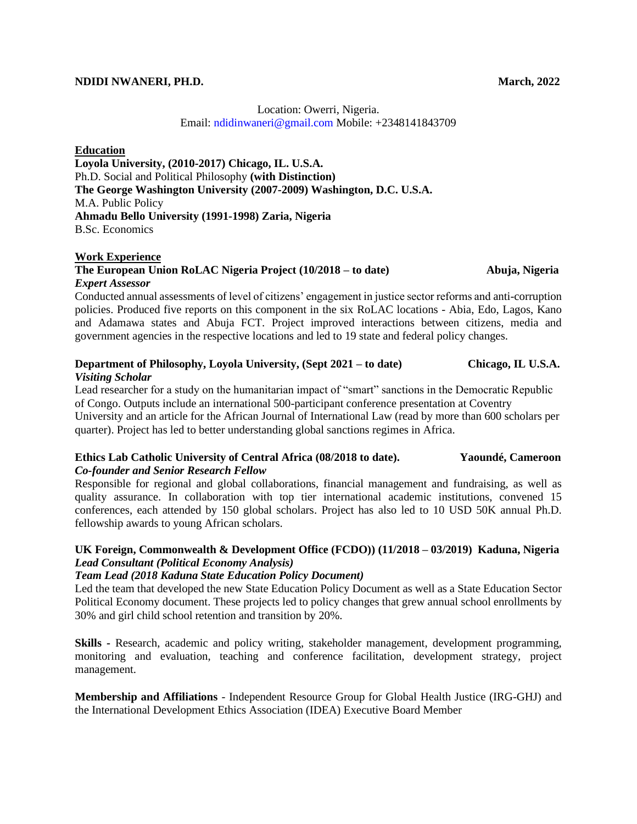#### **NDIDI NWANERI, PH.D. March, 2022**

# Location: Owerri, Nigeria. Email: ndidinwaneri@gmail.com Mobile: +2348141843709

### **Education**

**Loyola University, (2010-2017) Chicago, IL. U.S.A.**  Ph.D. Social and Political Philosophy **(with Distinction) The George Washington University (2007-2009) Washington, D.C. U.S.A.**  M.A. Public Policy **Ahmadu Bello University (1991-1998) Zaria, Nigeria**  B.Sc. Economics

### **Work Experience**

# **The European Union RoLAC Nigeria Project (10/2018 – to date) Abuja, Nigeria**  *Expert Assessor*

Conducted annual assessments of level of citizens' engagement in justice sector reforms and anti-corruption policies. Produced five reports on this component in the six RoLAC locations - Abia, Edo, Lagos, Kano and Adamawa states and Abuja FCT. Project improved interactions between citizens, media and government agencies in the respective locations and led to 19 state and federal policy changes.

### **Department of Philosophy, Loyola University, (Sept 2021 – to date) Chicago, IL U.S.A.**  *Visiting Scholar*

Lead researcher for a study on the humanitarian impact of "smart" sanctions in the Democratic Republic of Congo. Outputs include an international 500-participant conference presentation at Coventry University and an article for the African Journal of International Law (read by more than 600 scholars per quarter). Project has led to better understanding global sanctions regimes in Africa.

### **Ethics Lab Catholic University of Central Africa (08/2018 to date). Yaoundé, Cameroon**  *Co-founder and Senior Research Fellow*

Responsible for regional and global collaborations, financial management and fundraising, as well as quality assurance. In collaboration with top tier international academic institutions, convened 15 conferences, each attended by 150 global scholars. Project has also led to 10 USD 50K annual Ph.D. fellowship awards to young African scholars.

# **UK Foreign, Commonwealth & Development Office (FCDO)) (11/2018 – 03/2019) Kaduna, Nigeria**  *Lead Consultant (Political Economy Analysis)*

# *Team Lead (2018 Kaduna State Education Policy Document)*

Led the team that developed the new State Education Policy Document as well as a State Education Sector Political Economy document. These projects led to policy changes that grew annual school enrollments by 30% and girl child school retention and transition by 20%.

**Skills -** Research, academic and policy writing, stakeholder management, development programming, monitoring and evaluation, teaching and conference facilitation, development strategy, project management.

**Membership and Affiliations** - Independent Resource Group for Global Health Justice (IRG-GHJ) and the International Development Ethics Association (IDEA) Executive Board Member